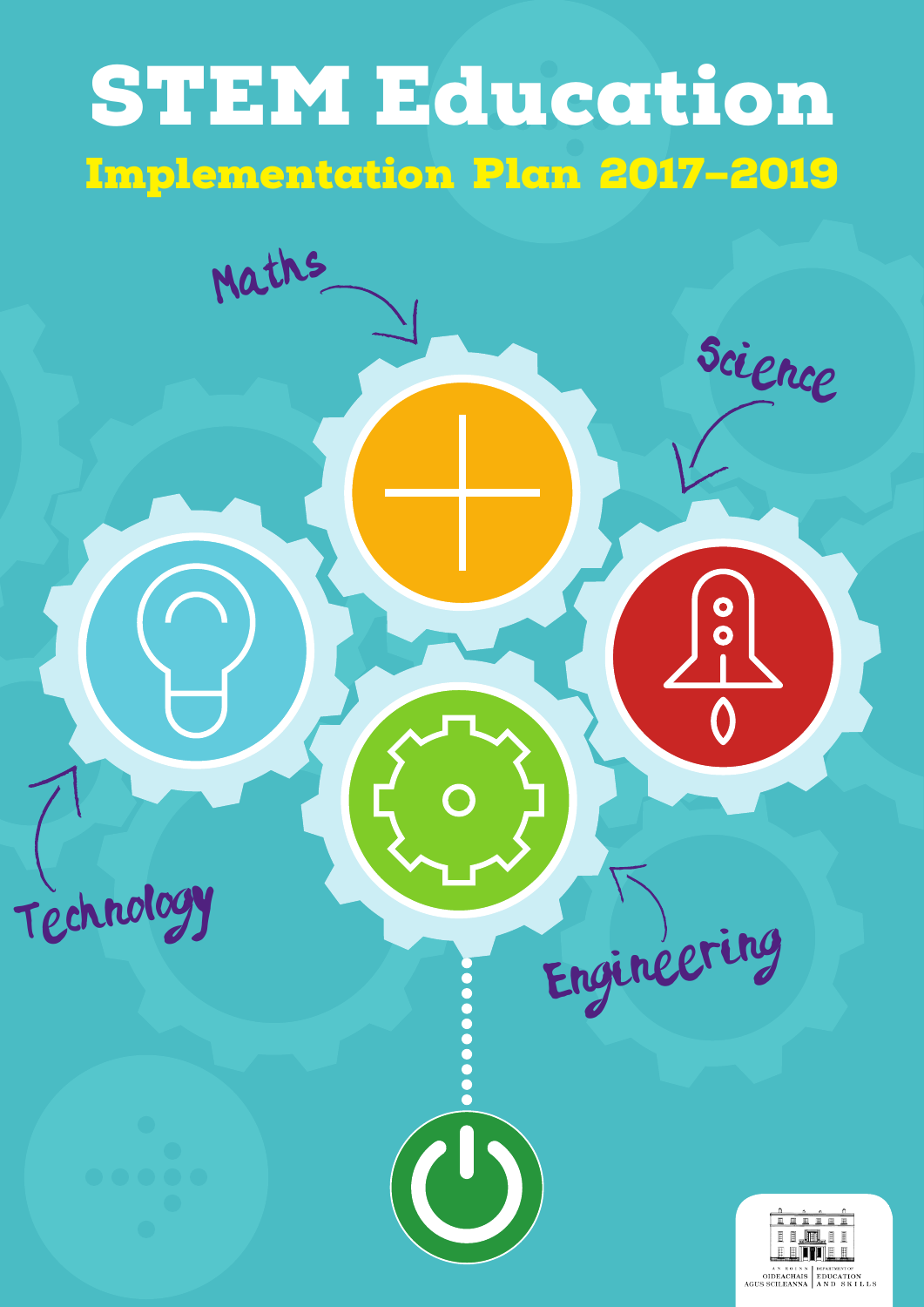# STEM Education Implementation Plan 2017–2019

Maths

Technology



Engineering

Science

 $\overline{\mathbf{o}}$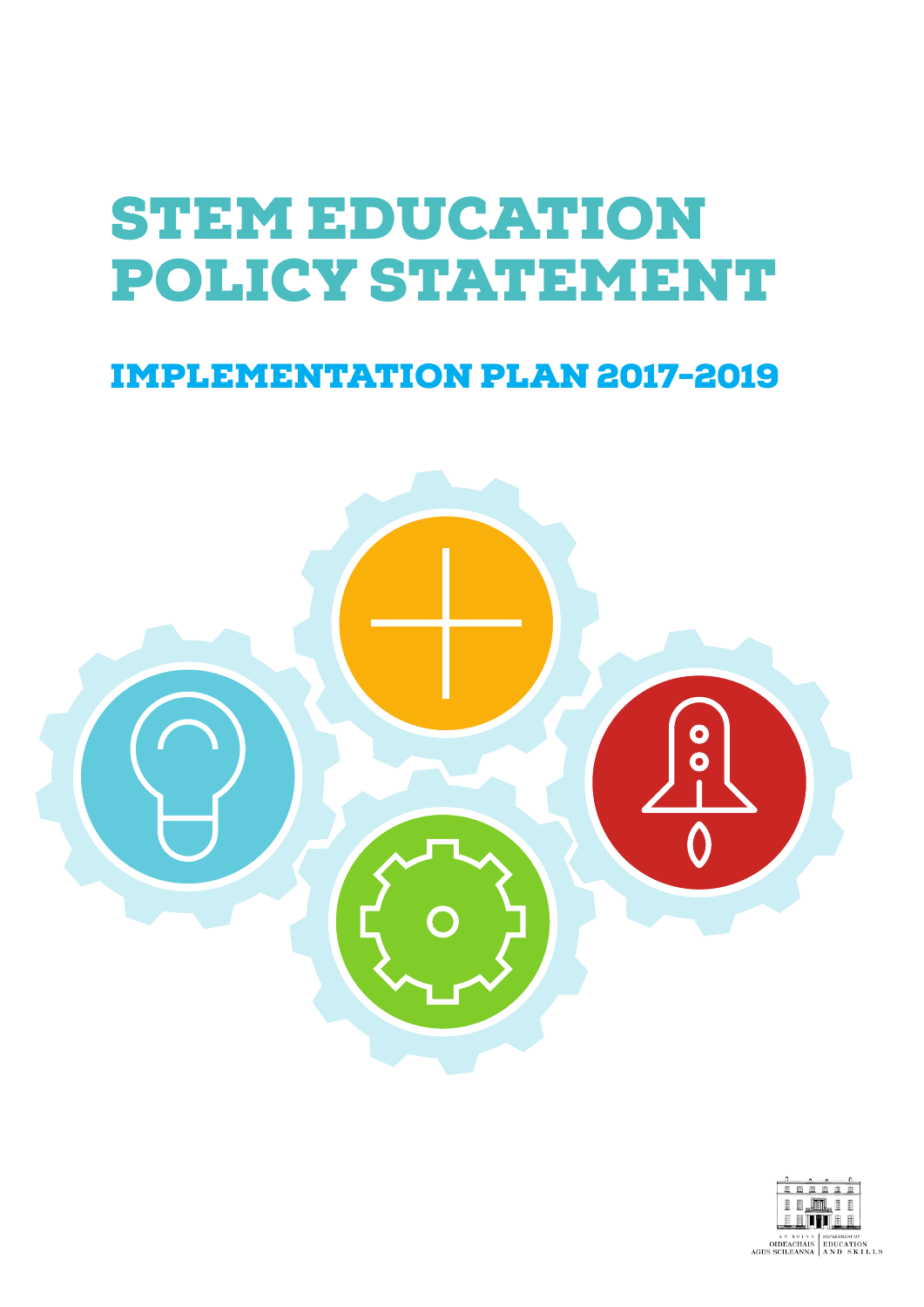## STEM EDUCATION POLICY STATEMENT

## IMPLEMENTATION PLAN 2017-2019



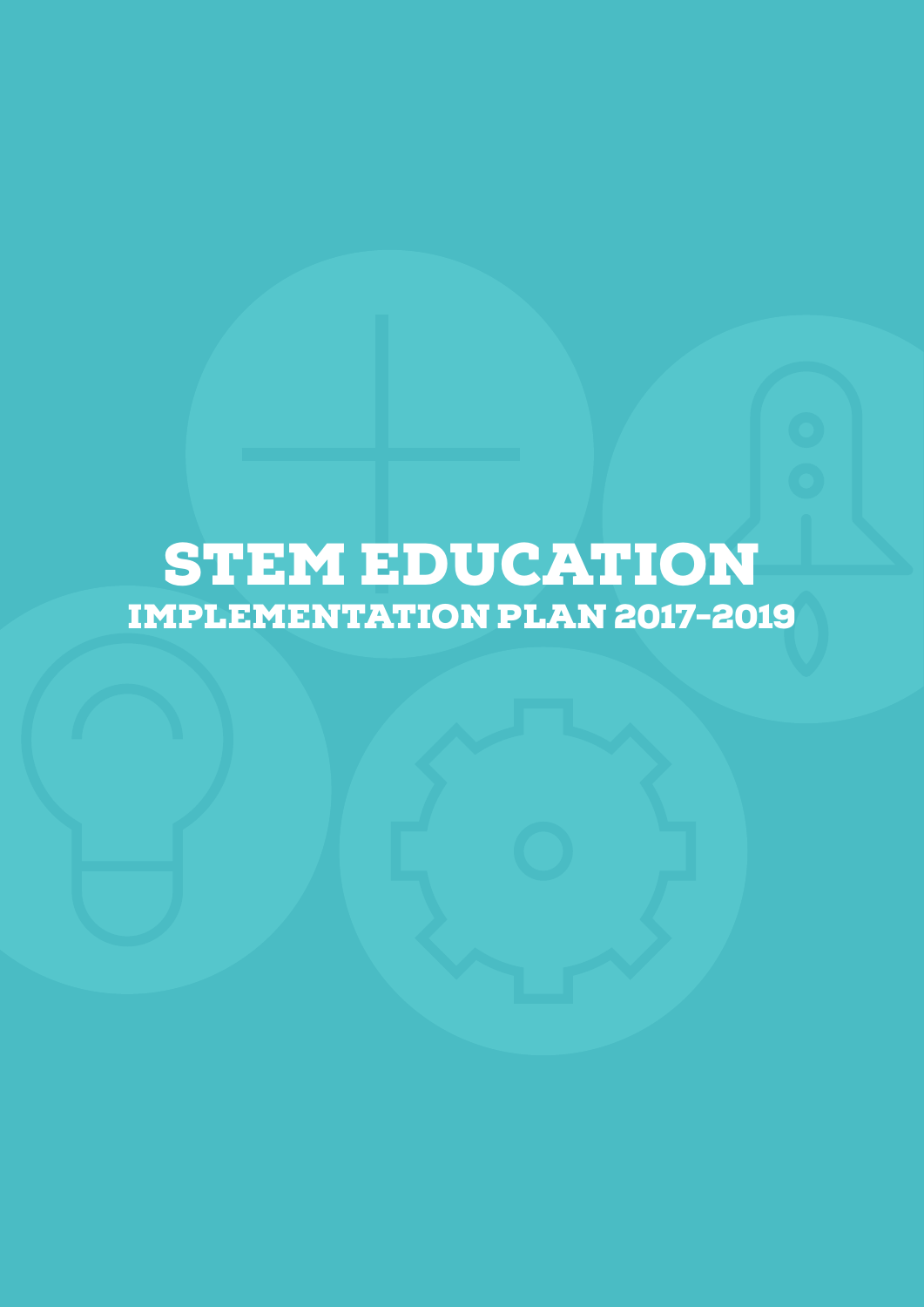## STEM EDUCATION IMPLEMENTATION PLAN 2017-2019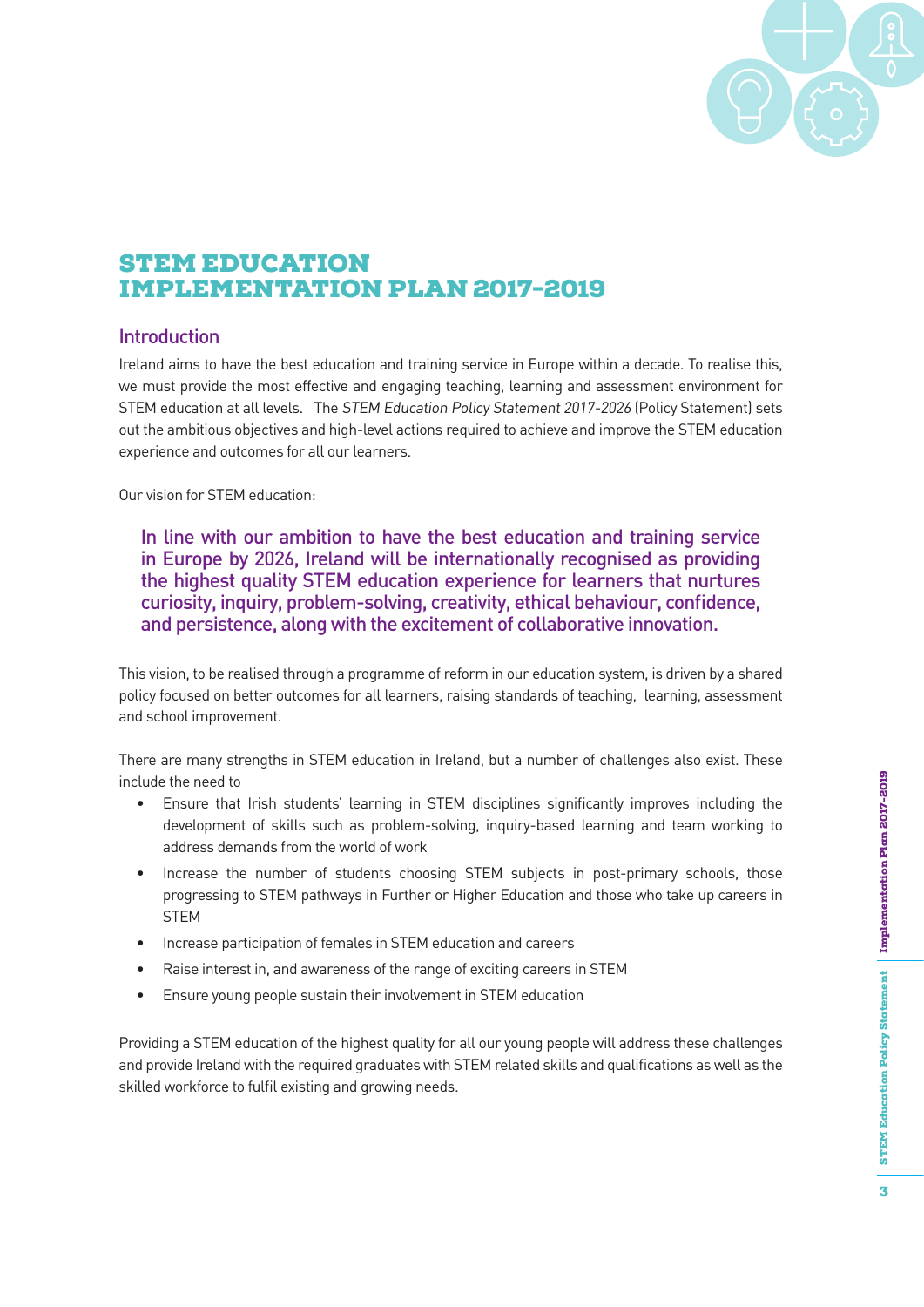

### STEM EDUCATION IMPLEMENTATION PLAN 2017-2019

#### Introduction

Ireland aims to have the best education and training service in Europe within a decade. To realise this, we must provide the most effective and engaging teaching, learning and assessment environment for STEM education at all levels. The STEM Education Policy Statement 2017-2026 (Policy Statement) sets out the ambitious objectives and high-level actions required to achieve and improve the STEM education experience and outcomes for all our learners.

Our vision for STEM education:

In line with our ambition to have the best education and training service in Europe by 2026, Ireland will be internationally recognised as providing the highest quality STEM education experience for learners that nurtures curiosity, inquiry, problem-solving, creativity, ethical behaviour, confidence, and persistence, along with the excitement of collaborative innovation.

This vision, to be realised through a programme of reform in our education system, is driven by a shared policy focused on better outcomes for all learners, raising standards of teaching, learning, assessment and school improvement.

There are many strengths in STEM education in Ireland, but a number of challenges also exist. These include the need to

- Ensure that Irish students' learning in STEM disciplines significantly improves including the development of skills such as problem-solving, inquiry-based learning and team working to address demands from the world of work
- Increase the number of students choosing STEM subjects in post-primary schools, those progressing to STEM pathways in Further or Higher Education and those who take up careers in **STEM**
- Increase participation of females in STEM education and careers
- Raise interest in, and awareness of the range of exciting careers in STEM
- Ensure young people sustain their involvement in STEM education

Providing a STEM education of the highest quality for all our young people will address these challenges and provide Ireland with the required graduates with STEM related skills and qualifications as well as the skilled workforce to fulfil existing and growing needs.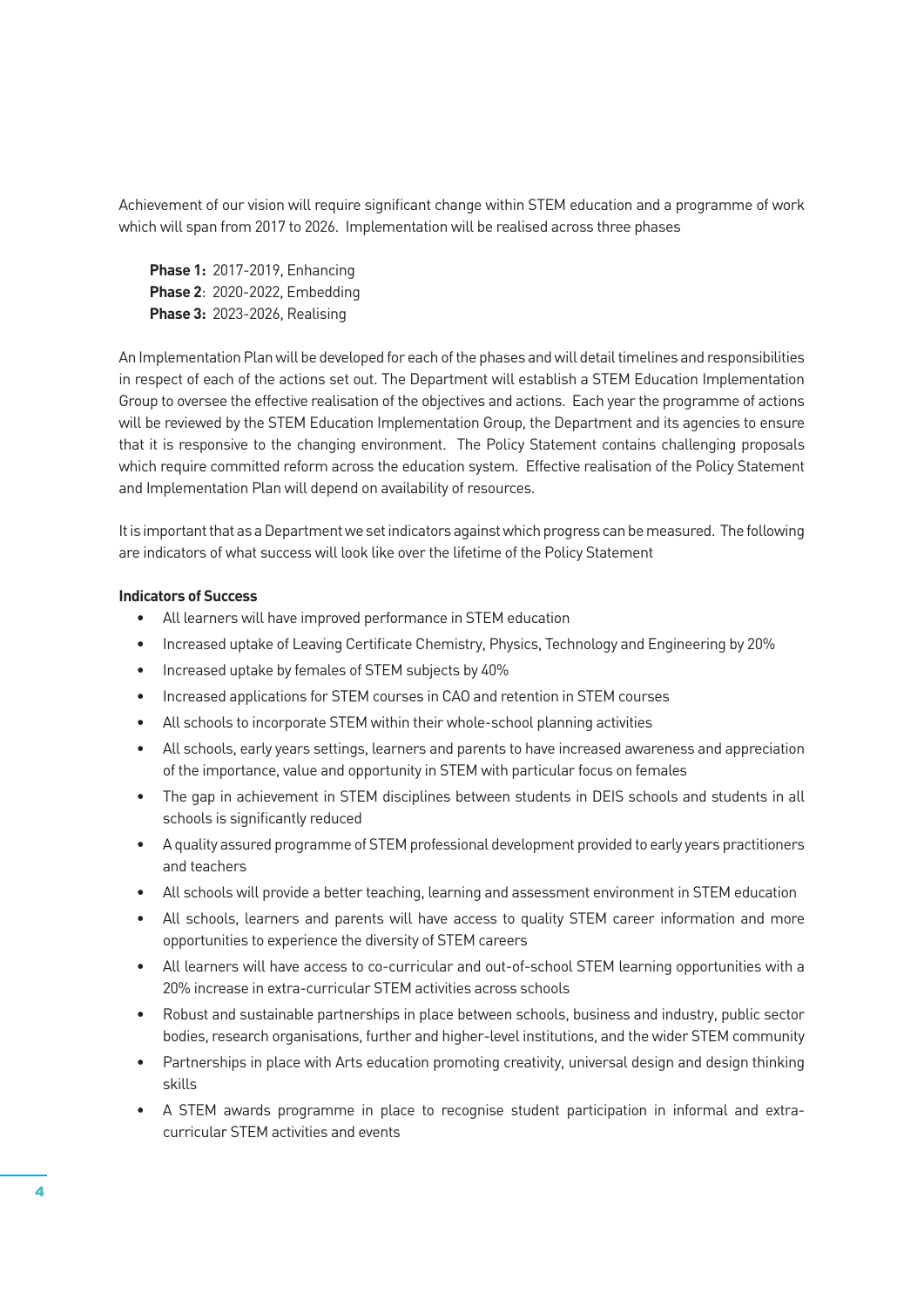Achievement of our vision will require significant change within STEM education and a programme of work which will span from 2017 to 2026. Implementation will be realised across three phases

**Phase 1:** 2017-2019, Enhancing **Phase 2**: 2020-2022, Embedding **Phase 3:** 2023-2026, Realising

An Implementation Plan will be developed for each of the phases and will detail timelines and responsibilities in respect of each of the actions set out. The Department will establish a STEM Education Implementation Group to oversee the effective realisation of the objectives and actions. Each year the programme of actions will be reviewed by the STEM Education Implementation Group, the Department and its agencies to ensure that it is responsive to the changing environment. The Policy Statement contains challenging proposals which require committed reform across the education system. Effective realisation of the Policy Statement and Implementation Plan will depend on availability of resources.

It is important that as a Department we set indicators against which progress can be measured. The following are indicators of what success will look like over the lifetime of the Policy Statement

#### **Indicators of Success**

- All learners will have improved performance in STEM education
- Increased uptake of Leaving Certificate Chemistry, Physics, Technology and Engineering by 20%
- Increased uptake by females of STEM subjects by 40%
- Increased applications for STEM courses in CAO and retention in STEM courses
- All schools to incorporate STEM within their whole-school planning activities
- All schools, early years settings, learners and parents to have increased awareness and appreciation of the importance, value and opportunity in STEM with particular focus on females
- The gap in achievement in STEM disciplines between students in DEIS schools and students in all schools is significantly reduced
- A quality assured programme of STEM professional development provided to early years practitioners and teachers
- All schools will provide a better teaching, learning and assessment environment in STEM education
- All schools, learners and parents will have access to quality STEM career information and more opportunities to experience the diversity of STEM careers
- All learners will have access to co-curricular and out-of-school STEM learning opportunities with a 20% increase in extra-curricular STEM activities across schools
- Robust and sustainable partnerships in place between schools, business and industry, public sector bodies, research organisations, further and higher-level institutions, and the wider STEM community
- Partnerships in place with Arts education promoting creativity, universal design and design thinking skills
- A STEM awards programme in place to recognise student participation in informal and extracurricular STEM activities and events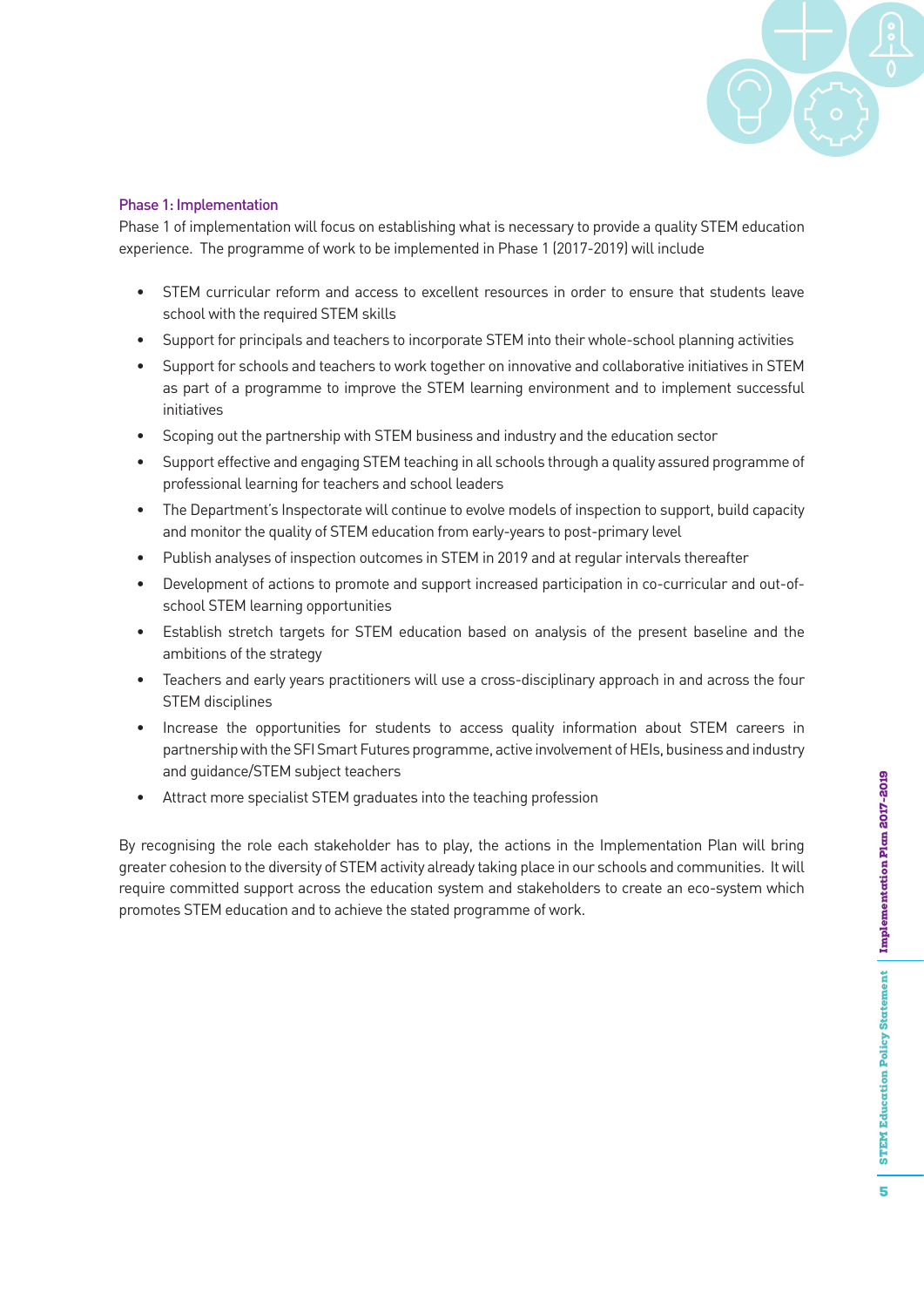

#### Phase 1: Implementation

Phase 1 of implementation will focus on establishing what is necessary to provide a quality STEM education experience. The programme of work to be implemented in Phase 1 (2017-2019) will include

- STEM curricular reform and access to excellent resources in order to ensure that students leave school with the required STEM skills
- Support for principals and teachers to incorporate STEM into their whole-school planning activities
- Support for schools and teachers to work together on innovative and collaborative initiatives in STEM as part of a programme to improve the STEM learning environment and to implement successful initiatives
- Scoping out the partnership with STEM business and industry and the education sector
- Support effective and engaging STEM teaching in all schools through a quality assured programme of professional learning for teachers and school leaders
- The Department's Inspectorate will continue to evolve models of inspection to support, build capacity and monitor the quality of STEM education from early-years to post-primary level
- Publish analyses of inspection outcomes in STEM in 2019 and at regular intervals thereafter
- Development of actions to promote and support increased participation in co-curricular and out-ofschool STEM learning opportunities
- Establish stretch targets for STEM education based on analysis of the present baseline and the ambitions of the strategy
- Teachers and early years practitioners will use a cross-disciplinary approach in and across the four STEM disciplines
- Increase the opportunities for students to access quality information about STEM careers in partnership with the SFI Smart Futures programme, active involvement of HEIs, business and industry and guidance/STEM subject teachers
- Attract more specialist STEM graduates into the teaching profession

By recognising the role each stakeholder has to play, the actions in the Implementation Plan will bring greater cohesion to the diversity of STEM activity already taking place in our schools and communities. It will require committed support across the education system and stakeholders to create an eco-system which promotes STEM education and to achieve the stated programme of work.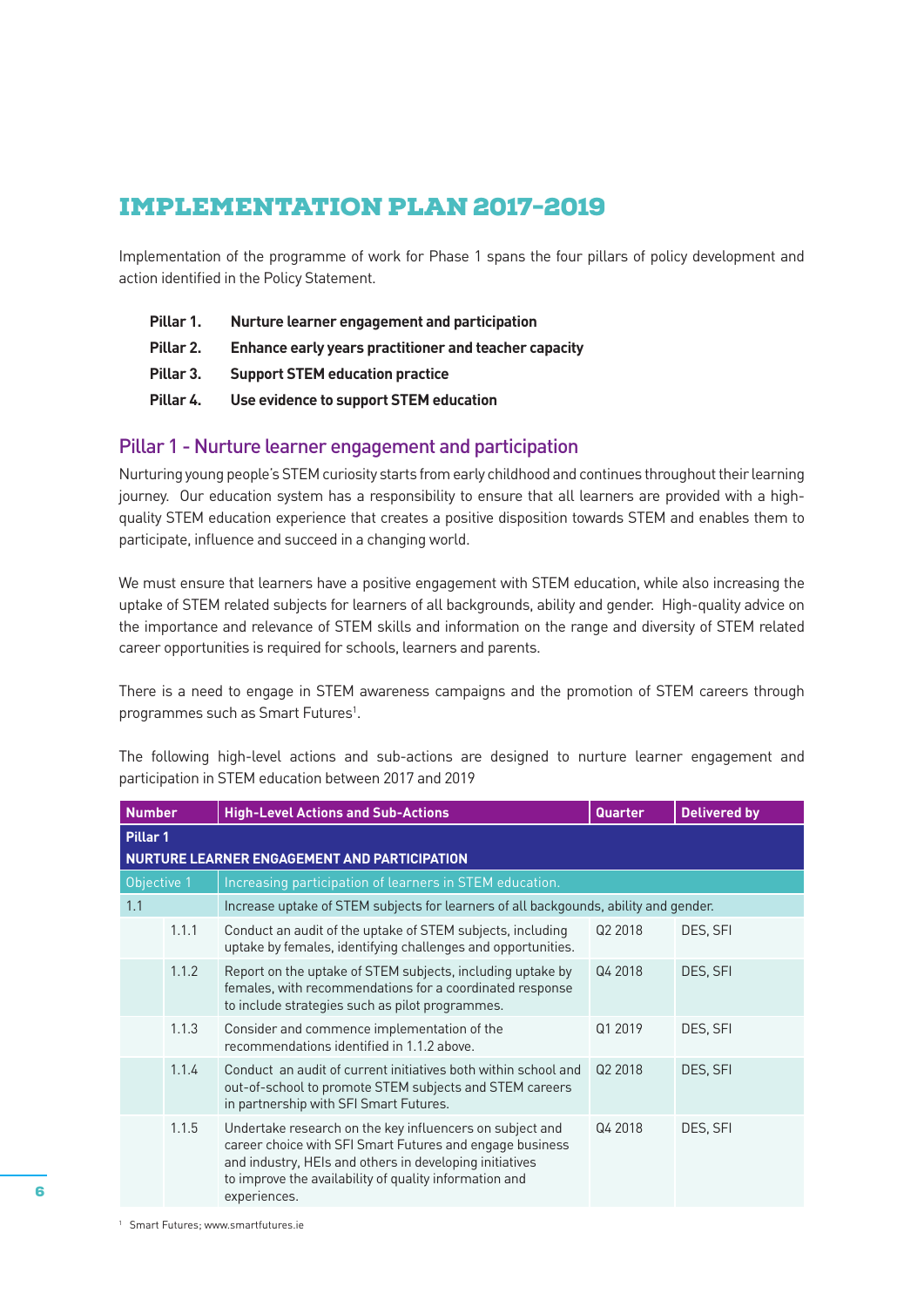## IMPLEMENTATION PLAN 2017-2019

Implementation of the programme of work for Phase 1 spans the four pillars of policy development and action identified in the Policy Statement.

- **Pillar 1. Nurture learner engagement and participation**
- **Pillar 2. Enhance early years practitioner and teacher capacity**
- **Pillar 3. Support STEM education practice**
- **Pillar 4. Use evidence to support STEM education**

#### Pillar 1 - Nurture learner engagement and participation

Nurturing young people's STEM curiosity starts from early childhood and continues throughout their learning journey. Our education system has a responsibility to ensure that all learners are provided with a highquality STEM education experience that creates a positive disposition towards STEM and enables them to participate, influence and succeed in a changing world.

We must ensure that learners have a positive engagement with STEM education, while also increasing the uptake of STEM related subjects for learners of all backgrounds, ability and gender. High-quality advice on the importance and relevance of STEM skills and information on the range and diversity of STEM related career opportunities is required for schools, learners and parents.

There is a need to engage in STEM awareness campaigns and the promotion of STEM careers through programmes such as Smart Futures<sup>1</sup>.

The following high-level actions and sub-actions are designed to nurture learner engagement and participation in STEM education between 2017 and 2019

| <b>Number</b> |       | <b>High-Level Actions and Sub-Actions</b>                                                                                                                                                                                                                 | Quarter | <b>Delivered by</b> |
|---------------|-------|-----------------------------------------------------------------------------------------------------------------------------------------------------------------------------------------------------------------------------------------------------------|---------|---------------------|
| Pillar 1      |       |                                                                                                                                                                                                                                                           |         |                     |
|               |       | NURTURE LEARNER ENGAGEMENT AND PARTICIPATION                                                                                                                                                                                                              |         |                     |
| Objective 1   |       | Increasing participation of learners in STEM education.                                                                                                                                                                                                   |         |                     |
| 1.1           |       | Increase uptake of STEM subjects for learners of all backgounds, ability and gender.                                                                                                                                                                      |         |                     |
|               | 1.1.1 | Conduct an audit of the uptake of STEM subjects, including<br>uptake by females, identifying challenges and opportunities.                                                                                                                                | Q2 2018 | DES, SFI            |
|               | 1.1.2 | Report on the uptake of STEM subjects, including uptake by<br>females, with recommendations for a coordinated response<br>to include strategies such as pilot programmes.                                                                                 | Q4 2018 | DES, SFI            |
|               | 1.1.3 | Consider and commence implementation of the<br>recommendations identified in 1.1.2 above.                                                                                                                                                                 | Q1 2019 | DES, SFI            |
|               | 1.1.4 | Conduct an audit of current initiatives both within school and<br>out-of-school to promote STEM subjects and STEM careers<br>in partnership with SFI Smart Futures.                                                                                       | Q22018  | DES, SFI            |
|               | 1.1.5 | Undertake research on the key influencers on subject and<br>career choice with SFI Smart Futures and engage business<br>and industry, HEIs and others in developing initiatives<br>to improve the availability of quality information and<br>experiences. | Q4 2018 | DES, SFI            |

<sup>1</sup> Smart Futures; www.smartfutures.ie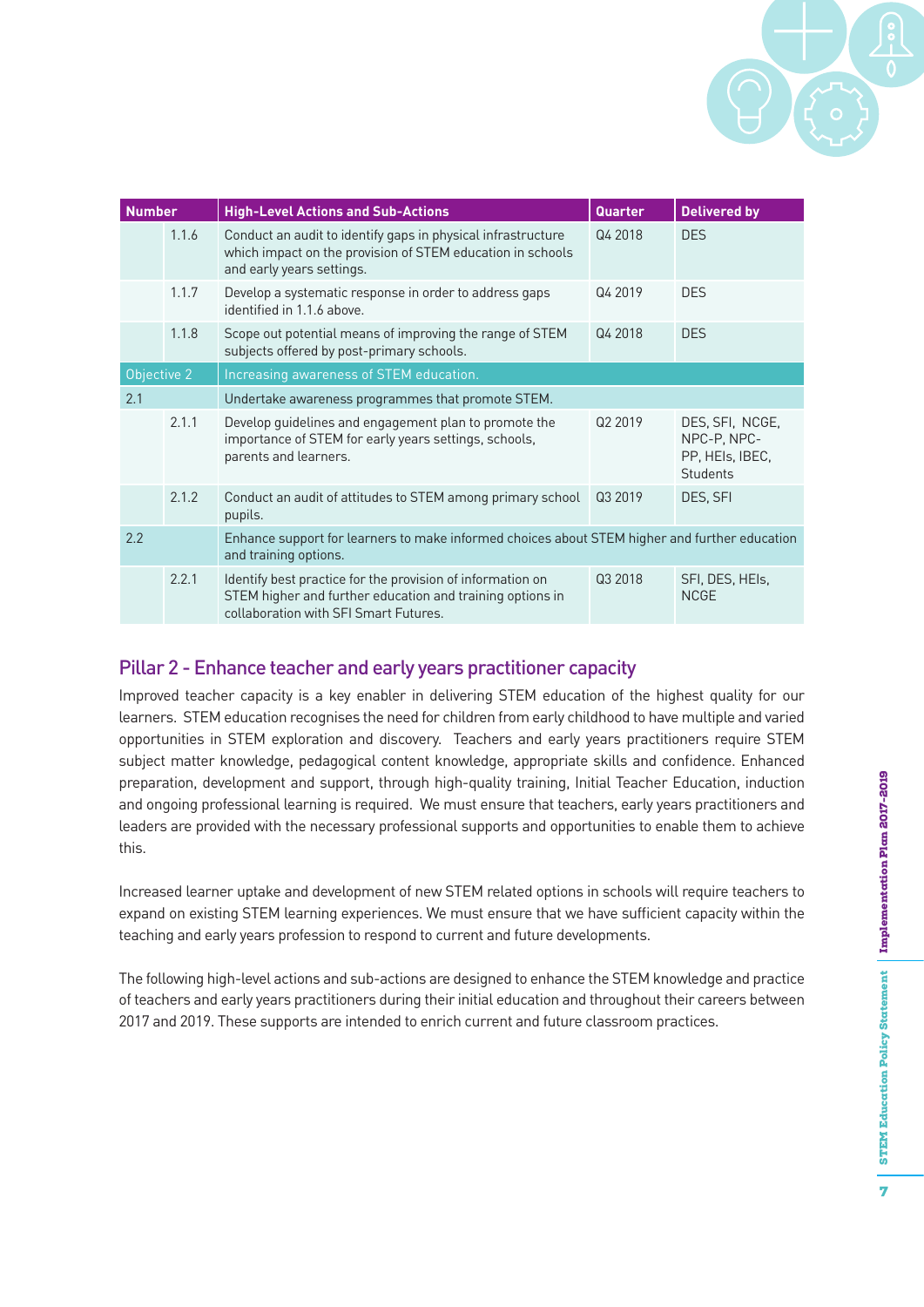

| <b>Number</b> |       | <b>High-Level Actions and Sub-Actions</b>                                                                                                                        | <b>Quarter</b> | <b>Delivered by</b>                                           |  |  |
|---------------|-------|------------------------------------------------------------------------------------------------------------------------------------------------------------------|----------------|---------------------------------------------------------------|--|--|
|               | 1.1.6 | Conduct an audit to identify gaps in physical infrastructure<br>which impact on the provision of STEM education in schools<br>and early years settings.          | Q4 2018        | <b>DES</b>                                                    |  |  |
|               | 1.1.7 | Develop a systematic response in order to address gaps<br>identified in 1.1.6 above.                                                                             | Q4 2019        | <b>DES</b>                                                    |  |  |
|               | 1.1.8 | Scope out potential means of improving the range of STEM<br>subjects offered by post-primary schools.                                                            | Q4 2018        | <b>DES</b>                                                    |  |  |
| Objective 2   |       | Increasing awareness of STEM education.                                                                                                                          |                |                                                               |  |  |
| 2.1           |       | Undertake awareness programmes that promote STEM.                                                                                                                |                |                                                               |  |  |
|               | 2.1.1 | Develop guidelines and engagement plan to promote the<br>importance of STEM for early years settings, schools,<br>parents and learners.                          | Q2 2019        | DES, SFI, NCGE,<br>NPC-P, NPC-<br>PP, HEIs, IBEC,<br>Students |  |  |
|               | 2.1.2 | Conduct an audit of attitudes to STEM among primary school<br>pupils.                                                                                            | Q3 2019        | DES, SFI                                                      |  |  |
| 2.2           |       | Enhance support for learners to make informed choices about STEM higher and further education<br>and training options.                                           |                |                                                               |  |  |
|               | 2.2.1 | Identify best practice for the provision of information on<br>STEM higher and further education and training options in<br>collaboration with SFI Smart Futures. | Q3 2018        | SFI, DES, HEIs,<br><b>NCGE</b>                                |  |  |

### Pillar 2 - Enhance teacher and early years practitioner capacity

Improved teacher capacity is a key enabler in delivering STEM education of the highest quality for our learners. STEM education recognises the need for children from early childhood to have multiple and varied opportunities in STEM exploration and discovery. Teachers and early years practitioners require STEM subject matter knowledge, pedagogical content knowledge, appropriate skills and confidence. Enhanced preparation, development and support, through high-quality training, Initial Teacher Education, induction and ongoing professional learning is required. We must ensure that teachers, early years practitioners and leaders are provided with the necessary professional supports and opportunities to enable them to achieve this.

Increased learner uptake and development of new STEM related options in schools will require teachers to expand on existing STEM learning experiences. We must ensure that we have sufficient capacity within the teaching and early years profession to respond to current and future developments.

The following high-level actions and sub-actions are designed to enhance the STEM knowledge and practice of teachers and early years practitioners during their initial education and throughout their careers between 2017 and 2019. These supports are intended to enrich current and future classroom practices.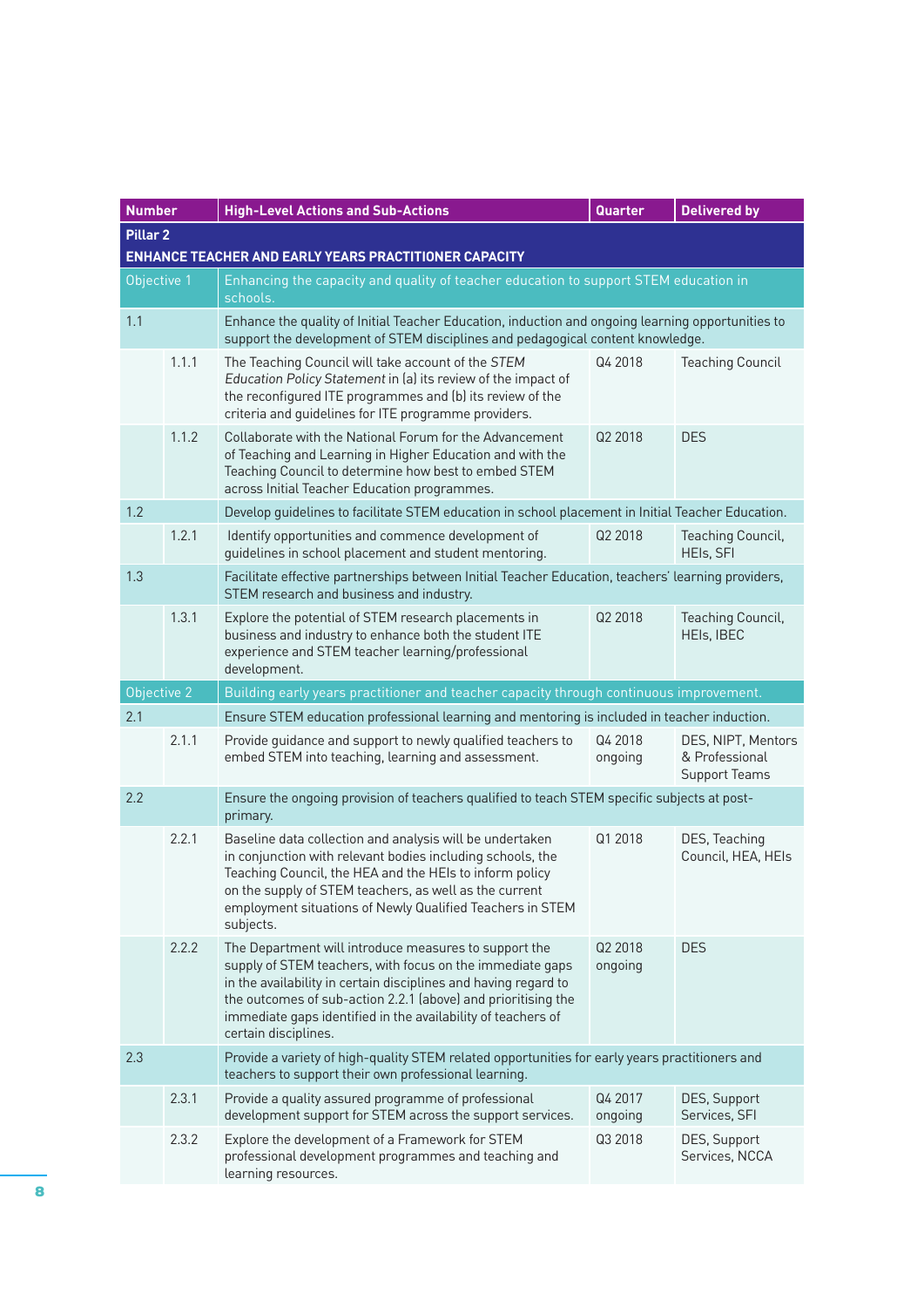| <b>Number</b>       |                                                              | <b>High-Level Actions and Sub-Actions</b>                                                                                                                                                                                                                                                                                                      | Quarter            | <b>Delivered by</b>                                          |
|---------------------|--------------------------------------------------------------|------------------------------------------------------------------------------------------------------------------------------------------------------------------------------------------------------------------------------------------------------------------------------------------------------------------------------------------------|--------------------|--------------------------------------------------------------|
| Pillar <sub>2</sub> |                                                              |                                                                                                                                                                                                                                                                                                                                                |                    |                                                              |
|                     | <b>ENHANCE TEACHER AND EARLY YEARS PRACTITIONER CAPACITY</b> |                                                                                                                                                                                                                                                                                                                                                |                    |                                                              |
| Objective 1         |                                                              | Enhancing the capacity and quality of teacher education to support STEM education in<br>schools.                                                                                                                                                                                                                                               |                    |                                                              |
| 1.1                 |                                                              | Enhance the quality of Initial Teacher Education, induction and ongoing learning opportunities to<br>support the development of STEM disciplines and pedagogical content knowledge.                                                                                                                                                            |                    |                                                              |
|                     | 1.1.1                                                        | The Teaching Council will take account of the STEM<br>Education Policy Statement in (a) its review of the impact of<br>the reconfigured ITE programmes and (b) its review of the<br>criteria and quidelines for ITE programme providers.                                                                                                       | Q4 2018            | <b>Teaching Council</b>                                      |
|                     | 1.1.2                                                        | Collaborate with the National Forum for the Advancement<br>of Teaching and Learning in Higher Education and with the<br>Teaching Council to determine how best to embed STEM<br>across Initial Teacher Education programmes.                                                                                                                   | Q2 2018            | <b>DES</b>                                                   |
| 1.2                 |                                                              | Develop guidelines to facilitate STEM education in school placement in Initial Teacher Education.                                                                                                                                                                                                                                              |                    |                                                              |
|                     | 1.2.1                                                        | Identify opportunities and commence development of<br>guidelines in school placement and student mentoring.                                                                                                                                                                                                                                    | Q2 2018            | Teaching Council,<br>HEIs, SFI                               |
| 1.3                 |                                                              | Facilitate effective partnerships between Initial Teacher Education, teachers' learning providers,<br>STEM research and business and industry.                                                                                                                                                                                                 |                    |                                                              |
|                     | 1.3.1                                                        | Explore the potential of STEM research placements in<br>business and industry to enhance both the student ITE<br>experience and STEM teacher learning/professional<br>development.                                                                                                                                                             | Q2 2018            | Teaching Council,<br>HEIs, IBEC                              |
| Objective 2         |                                                              | Building early years practitioner and teacher capacity through continuous improvement.                                                                                                                                                                                                                                                         |                    |                                                              |
| 2.1                 |                                                              | Ensure STEM education professional learning and mentoring is included in teacher induction.                                                                                                                                                                                                                                                    |                    |                                                              |
|                     | 2.1.1                                                        | Provide guidance and support to newly qualified teachers to<br>embed STEM into teaching, learning and assessment.                                                                                                                                                                                                                              | Q4 2018<br>ongoing | DES, NIPT, Mentors<br>& Professional<br><b>Support Teams</b> |
| 2.2                 |                                                              | Ensure the ongoing provision of teachers qualified to teach STEM specific subjects at post-<br>primary.                                                                                                                                                                                                                                        |                    |                                                              |
|                     | 2.2.1                                                        | Baseline data collection and analysis will be undertaken<br>in conjunction with relevant bodies including schools, the<br>Teaching Council, the HEA and the HEIs to inform policy<br>on the supply of STEM teachers, as well as the current<br>employment situations of Newly Qualified Teachers in STEM<br>subjects.                          | Q1 2018            | DES, Teaching<br>Council, HEA, HEIs                          |
|                     | 2.2.2                                                        | The Department will introduce measures to support the<br>supply of STEM teachers, with focus on the immediate gaps<br>in the availability in certain disciplines and having regard to<br>the outcomes of sub-action 2.2.1 (above) and prioritising the<br>immediate gaps identified in the availability of teachers of<br>certain disciplines. | Q2 2018<br>ongoing | <b>DES</b>                                                   |
| 2.3                 |                                                              | Provide a variety of high-quality STEM related opportunities for early years practitioners and<br>teachers to support their own professional learning.                                                                                                                                                                                         |                    |                                                              |
|                     | 2.3.1                                                        | Provide a quality assured programme of professional<br>development support for STEM across the support services.                                                                                                                                                                                                                               | Q4 2017<br>ongoing | DES, Support<br>Services, SFI                                |
|                     | 2.3.2                                                        | Explore the development of a Framework for STEM<br>professional development programmes and teaching and<br>learning resources.                                                                                                                                                                                                                 | Q3 2018            | DES, Support<br>Services, NCCA                               |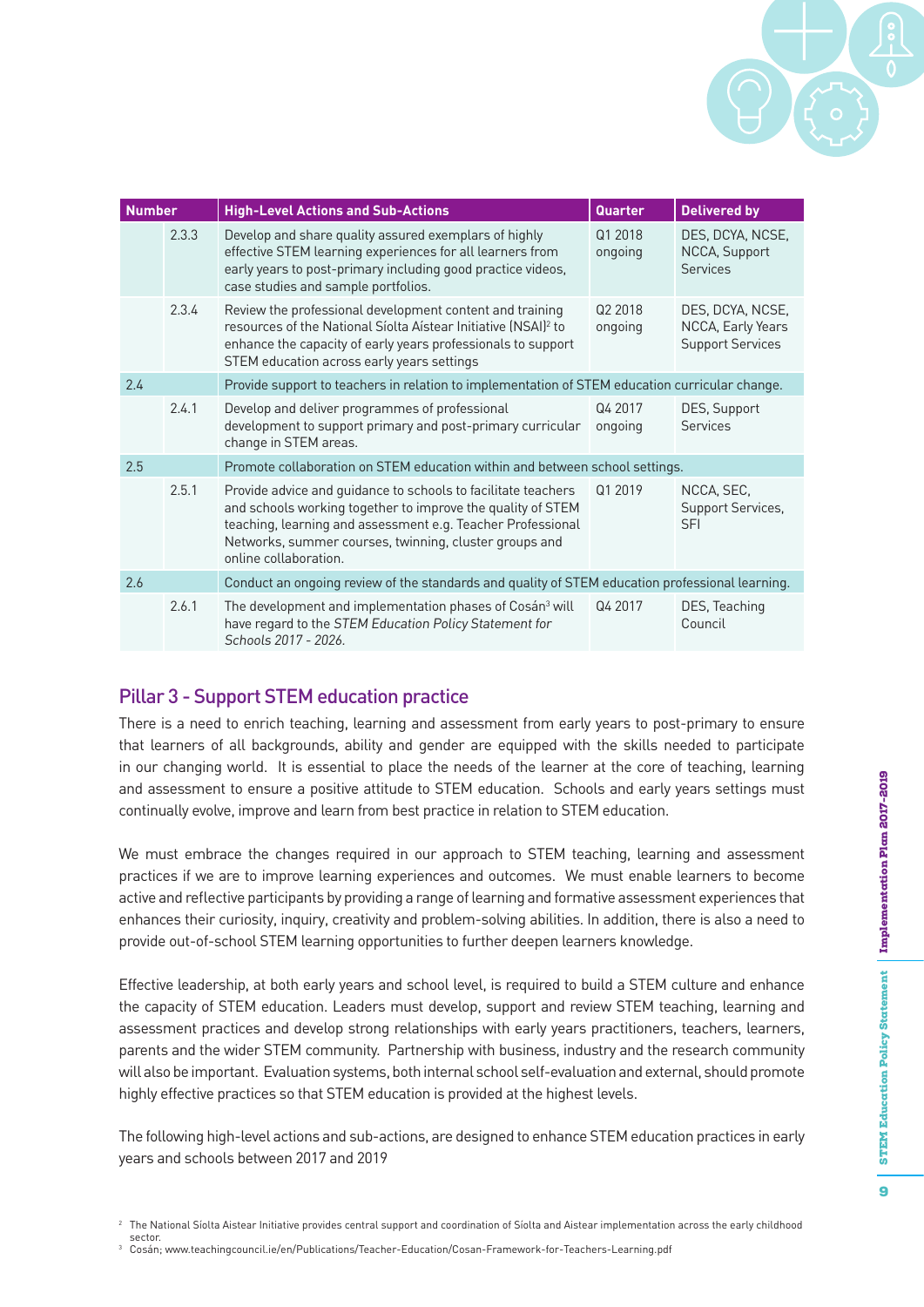

| <b>Number</b> |       | <b>High-Level Actions and Sub-Actions</b>                                                                                                                                                                                                                                      | Quarter            | <b>Delivered by</b>                                              |
|---------------|-------|--------------------------------------------------------------------------------------------------------------------------------------------------------------------------------------------------------------------------------------------------------------------------------|--------------------|------------------------------------------------------------------|
|               | 2.3.3 | Develop and share quality assured exemplars of highly<br>effective STEM learning experiences for all learners from<br>early years to post-primary including good practice videos,<br>case studies and sample portfolios.                                                       | Q1 2018<br>ongoing | DES, DCYA, NCSE,<br>NCCA, Support<br>Services                    |
|               | 2.3.4 | Review the professional development content and training<br>resources of the National Síolta Aístear Initiative (NSAI) <sup>2</sup> to<br>enhance the capacity of early years professionals to support<br>STEM education across early years settings                           | Q22018<br>ongoing  | DES, DCYA, NCSE,<br>NCCA, Early Years<br><b>Support Services</b> |
| 2.4           |       | Provide support to teachers in relation to implementation of STEM education curricular change.                                                                                                                                                                                 |                    |                                                                  |
|               | 2.4.1 | Develop and deliver programmes of professional<br>development to support primary and post-primary curricular<br>change in STEM areas.                                                                                                                                          | Q4 2017<br>ongoing | DES, Support<br><b>Services</b>                                  |
| 2.5           |       | Promote collaboration on STEM education within and between school settings.                                                                                                                                                                                                    |                    |                                                                  |
|               | 2.5.1 | Provide advice and guidance to schools to facilitate teachers<br>and schools working together to improve the quality of STEM<br>teaching, learning and assessment e.g. Teacher Professional<br>Networks, summer courses, twinning, cluster groups and<br>online collaboration. | Q1 2019            | NCCA, SEC.<br>Support Services,<br><b>SFI</b>                    |
| 2.6           |       | Conduct an ongoing review of the standards and quality of STEM education professional learning.                                                                                                                                                                                |                    |                                                                  |
|               | 2.6.1 | The development and implementation phases of Cosán <sup>3</sup> will<br>have regard to the STEM Education Policy Statement for<br>Schools 2017 - 2026.                                                                                                                         | Q4 2017            | DES, Teaching<br>Council                                         |

### Pillar 3 - Support STEM education practice

There is a need to enrich teaching, learning and assessment from early years to post-primary to ensure that learners of all backgrounds, ability and gender are equipped with the skills needed to participate in our changing world. It is essential to place the needs of the learner at the core of teaching, learning and assessment to ensure a positive attitude to STEM education. Schools and early years settings must continually evolve, improve and learn from best practice in relation to STEM education.

We must embrace the changes required in our approach to STEM teaching, learning and assessment practices if we are to improve learning experiences and outcomes. We must enable learners to become active and reflective participants by providing a range of learning and formative assessment experiences that enhances their curiosity, inquiry, creativity and problem-solving abilities. In addition, there is also a need to provide out-of-school STEM learning opportunities to further deepen learners knowledge.

Effective leadership, at both early years and school level, is required to build a STEM culture and enhance the capacity of STEM education. Leaders must develop, support and review STEM teaching, learning and assessment practices and develop strong relationships with early years practitioners, teachers, learners, parents and the wider STEM community. Partnership with business, industry and the research community will also be important. Evaluation systems, both internal school self-evaluation and external, should promote highly effective practices so that STEM education is provided at the highest levels.

The following high-level actions and sub-actions, are designed to enhance STEM education practices in early years and schools between 2017 and 2019

<sup>&</sup>lt;sup>2</sup> The National Síolta Aistear Initiative provides central support and coordination of Síolta and Aistear implementation across the early childhood sector.

<sup>3</sup> Cosán; www.teachingcouncil.ie/en/Publications/Teacher-Education/Cosan-Framework-for-Teachers-Learning.pdf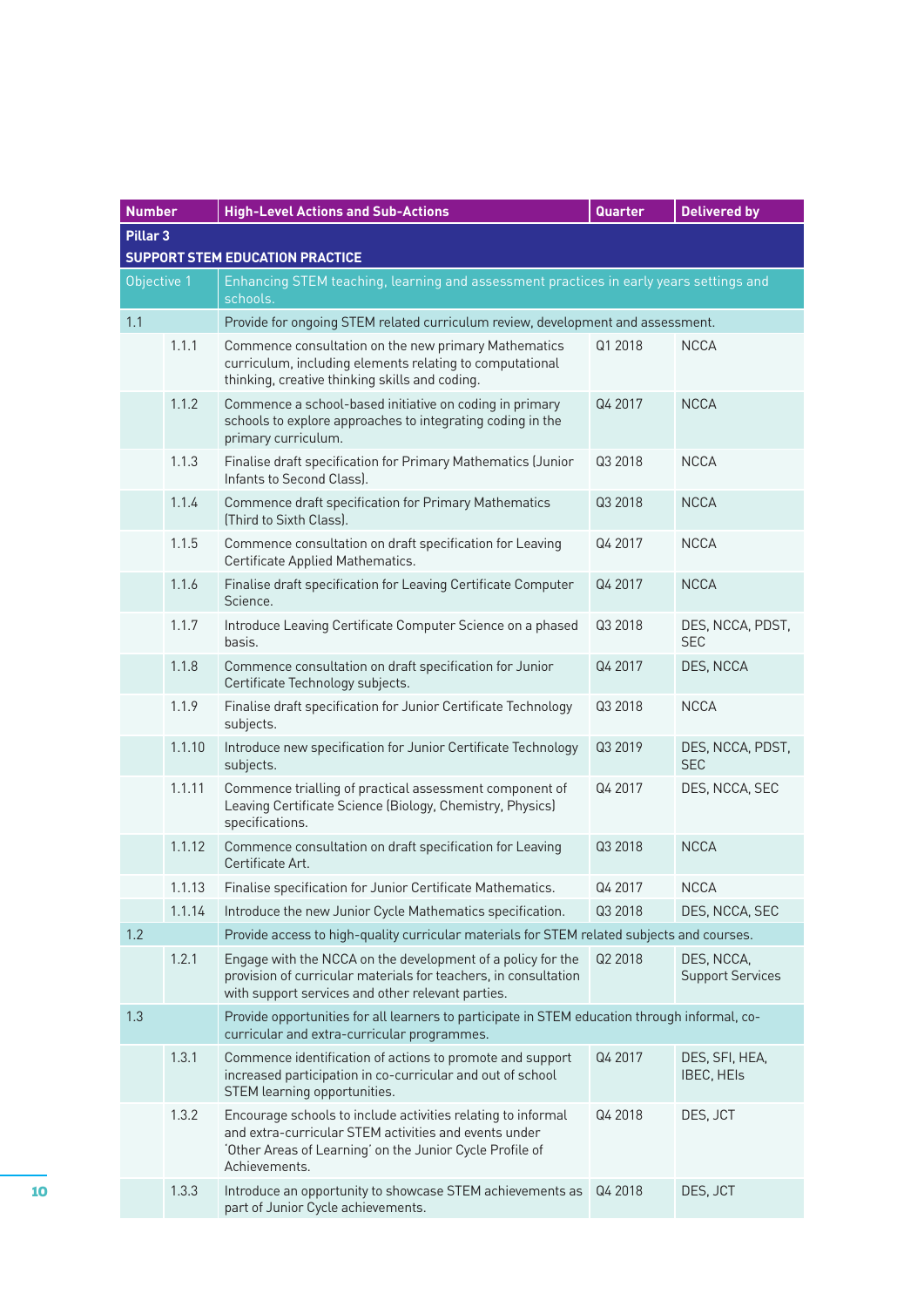| <b>Number</b>       |        | <b>High-Level Actions and Sub-Actions</b>                                                                                                                                                          | Quarter | <b>Delivered by</b>                   |  |
|---------------------|--------|----------------------------------------------------------------------------------------------------------------------------------------------------------------------------------------------------|---------|---------------------------------------|--|
| Pillar <sub>3</sub> |        |                                                                                                                                                                                                    |         |                                       |  |
|                     |        | <b>SUPPORT STEM EDUCATION PRACTICE</b>                                                                                                                                                             |         |                                       |  |
| Objective 1         |        | Enhancing STEM teaching, learning and assessment practices in early years settings and<br>schools.                                                                                                 |         |                                       |  |
| 1.1                 |        | Provide for ongoing STEM related curriculum review, development and assessment.                                                                                                                    |         |                                       |  |
|                     | 1.1.1  | Commence consultation on the new primary Mathematics<br>curriculum, including elements relating to computational<br>thinking, creative thinking skills and coding.                                 | Q1 2018 | <b>NCCA</b>                           |  |
|                     | 1.1.2  | Commence a school-based initiative on coding in primary<br>schools to explore approaches to integrating coding in the<br>primary curriculum.                                                       | Q4 2017 | <b>NCCA</b>                           |  |
|                     | 1.1.3  | Finalise draft specification for Primary Mathematics (Junior<br>Infants to Second Class).                                                                                                          | Q3 2018 | <b>NCCA</b>                           |  |
|                     | 1.1.4  | Commence draft specification for Primary Mathematics<br>(Third to Sixth Class).                                                                                                                    | Q3 2018 | <b>NCCA</b>                           |  |
|                     | 1.1.5  | Commence consultation on draft specification for Leaving<br>Certificate Applied Mathematics.                                                                                                       | Q4 2017 | <b>NCCA</b>                           |  |
|                     | 1.1.6  | Finalise draft specification for Leaving Certificate Computer<br>Science.                                                                                                                          | Q4 2017 | <b>NCCA</b>                           |  |
|                     | 1.1.7  | Introduce Leaving Certificate Computer Science on a phased<br>basis.                                                                                                                               | Q3 2018 | DES, NCCA, PDST,<br><b>SEC</b>        |  |
|                     | 1.1.8  | Commence consultation on draft specification for Junior<br>Certificate Technology subjects.                                                                                                        | Q4 2017 | DES, NCCA                             |  |
|                     | 1.1.9  | Finalise draft specification for Junior Certificate Technology<br>subjects.                                                                                                                        | Q3 2018 | <b>NCCA</b>                           |  |
|                     | 1.1.10 | Introduce new specification for Junior Certificate Technology<br>subjects.                                                                                                                         | Q3 2019 | DES, NCCA, PDST,<br><b>SEC</b>        |  |
|                     | 1.1.11 | Commence trialling of practical assessment component of<br>Leaving Certificate Science (Biology, Chemistry, Physics)<br>specifications.                                                            | Q4 2017 | DES, NCCA, SEC                        |  |
|                     | 1.1.12 | Commence consultation on draft specification for Leaving<br>Certificate Art.                                                                                                                       | Q3 2018 | <b>NCCA</b>                           |  |
|                     | 1.1.13 | Finalise specification for Junior Certificate Mathematics.                                                                                                                                         | Q4 2017 | <b>NCCA</b>                           |  |
|                     | 1.1.14 | Introduce the new Junior Cycle Mathematics specification.                                                                                                                                          | Q3 2018 | DES, NCCA, SEC                        |  |
| 1.2                 |        | Provide access to high-quality curricular materials for STEM related subjects and courses.                                                                                                         |         |                                       |  |
|                     | 1.2.1  | Engage with the NCCA on the development of a policy for the<br>provision of curricular materials for teachers, in consultation<br>with support services and other relevant parties.                | Q2 2018 | DES, NCCA,<br><b>Support Services</b> |  |
| 1.3                 |        | Provide opportunities for all learners to participate in STEM education through informal, co-<br>curricular and extra-curricular programmes.                                                       |         |                                       |  |
|                     | 1.3.1  | Commence identification of actions to promote and support<br>increased participation in co-curricular and out of school<br>STEM learning opportunities.                                            | Q4 2017 | DES, SFI, HEA,<br>IBEC, HEIs          |  |
|                     | 1.3.2  | Encourage schools to include activities relating to informal<br>and extra-curricular STEM activities and events under<br>'Other Areas of Learning' on the Junior Cycle Profile of<br>Achievements. | Q4 2018 | DES, JCT                              |  |
|                     | 1.3.3  | Introduce an opportunity to showcase STEM achievements as<br>part of Junior Cycle achievements.                                                                                                    | Q4 2018 | DES, JCT                              |  |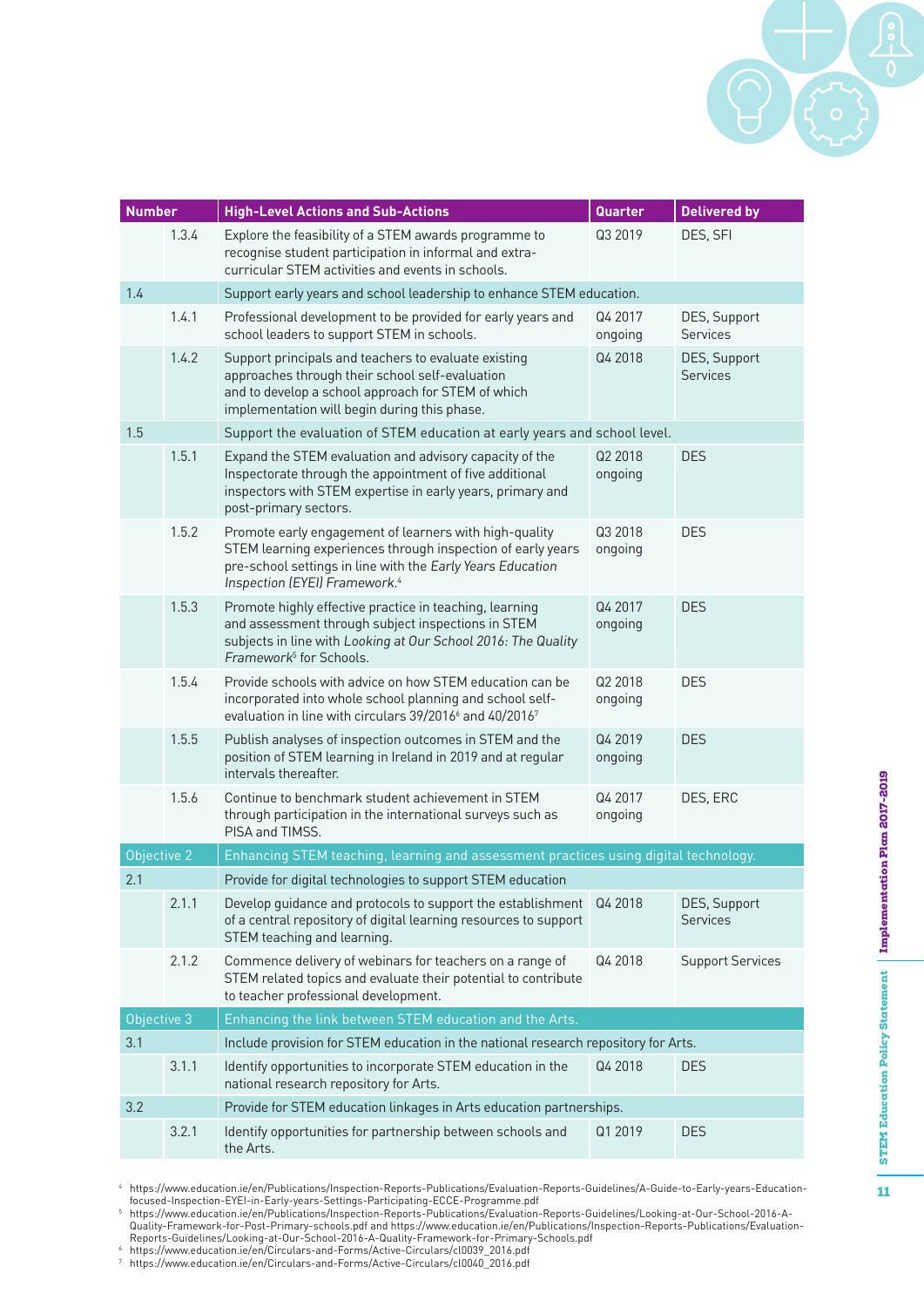

| <b>Number</b> |       | <b>High-Level Actions and Sub-Actions</b>                                                                                                                                                                                        | Quarter            | <b>Delivered by</b>             |
|---------------|-------|----------------------------------------------------------------------------------------------------------------------------------------------------------------------------------------------------------------------------------|--------------------|---------------------------------|
|               | 1.3.4 | Explore the feasibility of a STEM awards programme to<br>recognise student participation in informal and extra-<br>curricular STEM activities and events in schools.                                                             | Q3 2019            | DES, SFI                        |
| 1.4           |       | Support early years and school leadership to enhance STEM education.                                                                                                                                                             |                    |                                 |
|               | 1.4.1 | Professional development to be provided for early years and<br>school leaders to support STEM in schools.                                                                                                                        | Q4 2017<br>ongoing | DES, Support<br><b>Services</b> |
|               | 1.4.2 | Support principals and teachers to evaluate existing<br>approaches through their school self-evaluation<br>and to develop a school approach for STEM of which<br>implementation will begin during this phase.                    | Q4 2018            | DES, Support<br><b>Services</b> |
| 1.5           |       | Support the evaluation of STEM education at early years and school level.                                                                                                                                                        |                    |                                 |
|               | 1.5.1 | Expand the STEM evaluation and advisory capacity of the<br>Inspectorate through the appointment of five additional<br>inspectors with STEM expertise in early years, primary and<br>post-primary sectors.                        | Q2 2018<br>ongoing | <b>DES</b>                      |
|               | 1.5.2 | Promote early engagement of learners with high-quality<br>STEM learning experiences through inspection of early years<br>pre-school settings in line with the Early Years Education<br>Inspection (EYEI) Framework. <sup>4</sup> | Q3 2018<br>ongoing | <b>DES</b>                      |
|               | 1.5.3 | Promote highly effective practice in teaching, learning<br>and assessment through subject inspections in STEM<br>subjects in line with Looking at Our School 2016: The Quality<br>Framework <sup>5</sup> for Schools.            | Q4 2017<br>ongoing | <b>DES</b>                      |
|               | 1.5.4 | Provide schools with advice on how STEM education can be<br>incorporated into whole school planning and school self-<br>evaluation in line with circulars 39/2016 <sup>6</sup> and 40/2016 <sup>7</sup>                          | Q2 2018<br>ongoing | <b>DES</b>                      |
|               | 1.5.5 | Publish analyses of inspection outcomes in STEM and the<br>position of STEM learning in Ireland in 2019 and at regular<br>intervals thereafter.                                                                                  | Q4 2019<br>ongoing | <b>DES</b>                      |
|               | 1.5.6 | Continue to benchmark student achievement in STEM<br>through participation in the international surveys such as<br>PISA and TIMSS.                                                                                               | Q4 2017<br>ongoing | DES, ERC                        |
| Objective 2   |       | Enhancing STEM teaching, learning and assessment practices using digital technology.                                                                                                                                             |                    |                                 |
| 2.1           |       | Provide for digital technologies to support STEM education                                                                                                                                                                       |                    |                                 |
|               | 2.1.1 | Develop guidance and protocols to support the establishment<br>of a central repository of digital learning resources to support<br>STEM teaching and learning.                                                                   | Q4 2018            | DES, Support<br><b>Services</b> |
|               | 2.1.2 | Commence delivery of webinars for teachers on a range of<br>STEM related topics and evaluate their potential to contribute<br>to teacher professional development.                                                               | Q4 2018            | <b>Support Services</b>         |
| Objective 3   |       | Enhancing the link between STEM education and the Arts.                                                                                                                                                                          |                    |                                 |
| 3.1           |       | Include provision for STEM education in the national research repository for Arts.                                                                                                                                               |                    |                                 |
|               | 3.1.1 | Identify opportunities to incorporate STEM education in the<br>national research repository for Arts.                                                                                                                            | Q4 2018            | <b>DES</b>                      |
| 3.2           |       | Provide for STEM education linkages in Arts education partnerships.                                                                                                                                                              |                    |                                 |
|               | 3.2.1 | Identify opportunities for partnership between schools and<br>the Arts.                                                                                                                                                          | Q1 2019            | <b>DES</b>                      |

<sup>4</sup> https://www.education.ie/en/Publications/Inspection-Reports-Publications/Evaluation-Reports-Guidelines/A-Guide-to-Early-years-Educationfocused-Inspection-EYEI-in-Early-years-Settings-Participating-ECCE-Programme.pdf

<sup>5</sup> https://www.education.ie/en/Publications/Inspection-Reports-Publications/Evaluation-Reports-Guidelines/Looking-at-Our-School-2016-A-Quality-Framework-for-Post-Primary-schools.pdf and https://www.education.ie/en/Publications/Inspection-Reports-Publications/Evaluation-Reports-Guidelines/Looking-at-Our-School-2016-A-Quality-Framework-for-Primary-Schools.pdf

<sup>6</sup> https://www.education.ie/en/Circulars-and-Forms/Active-Circulars/cl0039\_2016.pdf <sup>7</sup> https://www.education.ie/en/Circulars-and-Forms/Active-Circulars/cl0040\_2016.pdf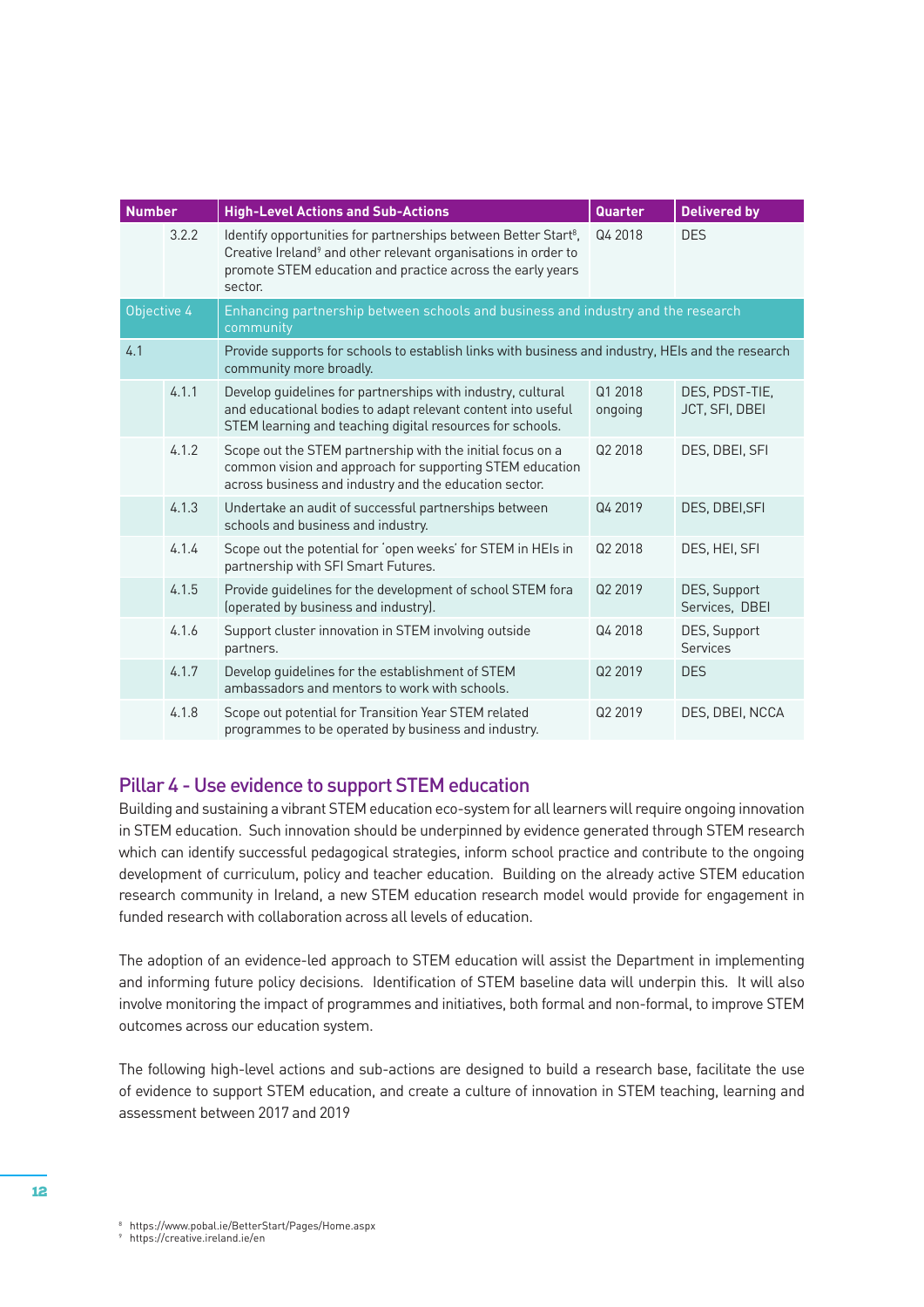| <b>Number</b> |       | <b>High-Level Actions and Sub-Actions</b>                                                                                                                                                                                         | <b>Quarter</b>     | <b>Delivered by</b>              |
|---------------|-------|-----------------------------------------------------------------------------------------------------------------------------------------------------------------------------------------------------------------------------------|--------------------|----------------------------------|
|               | 3.2.2 | Identify opportunities for partnerships between Better Start <sup>8</sup> ,<br>Creative Ireland <sup>9</sup> and other relevant organisations in order to<br>promote STEM education and practice across the early years<br>sector | Q4 2018            | <b>DES</b>                       |
| Objective 4   |       | Enhancing partnership between schools and business and industry and the research<br>community                                                                                                                                     |                    |                                  |
| 4.1           |       | Provide supports for schools to establish links with business and industry, HEIs and the research<br>community more broadly.                                                                                                      |                    |                                  |
|               | 4.1.1 | Develop quidelines for partnerships with industry, cultural<br>and educational bodies to adapt relevant content into useful<br>STEM learning and teaching digital resources for schools.                                          | Q1 2018<br>ongoing | DES, PDST-TIE,<br>JCT, SFI, DBEI |
|               | 4.1.2 | Scope out the STEM partnership with the initial focus on a<br>common vision and approach for supporting STEM education<br>across business and industry and the education sector.                                                  | Q2 2018            | DES, DBEI, SFI                   |
|               | 4.1.3 | Undertake an audit of successful partnerships between<br>schools and business and industry.                                                                                                                                       | Q4 2019            | DES, DBEI, SFI                   |
|               | 4.1.4 | Scope out the potential for 'open weeks' for STEM in HEIs in<br>partnership with SFI Smart Futures.                                                                                                                               | Q2 2018            | DES, HEI, SFI                    |
|               | 4.1.5 | Provide guidelines for the development of school STEM fora<br>(operated by business and industry).                                                                                                                                | Q2 2019            | DES, Support<br>Services, DBEI   |
|               | 4.1.6 | Support cluster innovation in STEM involving outside<br>partners.                                                                                                                                                                 | Q4 2018            | DES, Support<br><b>Services</b>  |
|               | 4.1.7 | Develop quidelines for the establishment of STEM<br>ambassadors and mentors to work with schools.                                                                                                                                 | Q2 2019            | <b>DES</b>                       |
|               | 4.1.8 | Scope out potential for Transition Year STEM related<br>programmes to be operated by business and industry.                                                                                                                       | Q2 2019            | DES, DBEI, NCCA                  |

#### Pillar 4 - Use evidence to support STEM education

Building and sustaining a vibrant STEM education eco-system for all learners will require ongoing innovation in STEM education. Such innovation should be underpinned by evidence generated through STEM research which can identify successful pedagogical strategies, inform school practice and contribute to the ongoing development of curriculum, policy and teacher education. Building on the already active STEM education research community in Ireland, a new STEM education research model would provide for engagement in funded research with collaboration across all levels of education.

The adoption of an evidence-led approach to STEM education will assist the Department in implementing and informing future policy decisions. Identification of STEM baseline data will underpin this. It will also involve monitoring the impact of programmes and initiatives, both formal and non-formal, to improve STEM outcomes across our education system.

The following high-level actions and sub-actions are designed to build a research base, facilitate the use of evidence to support STEM education, and create a culture of innovation in STEM teaching, learning and assessment between 2017 and 2019

- <sup>8</sup> https://www.pobal.ie/BetterStart/Pages/Home.aspx
- <sup>9</sup> https://creative.ireland.ie/en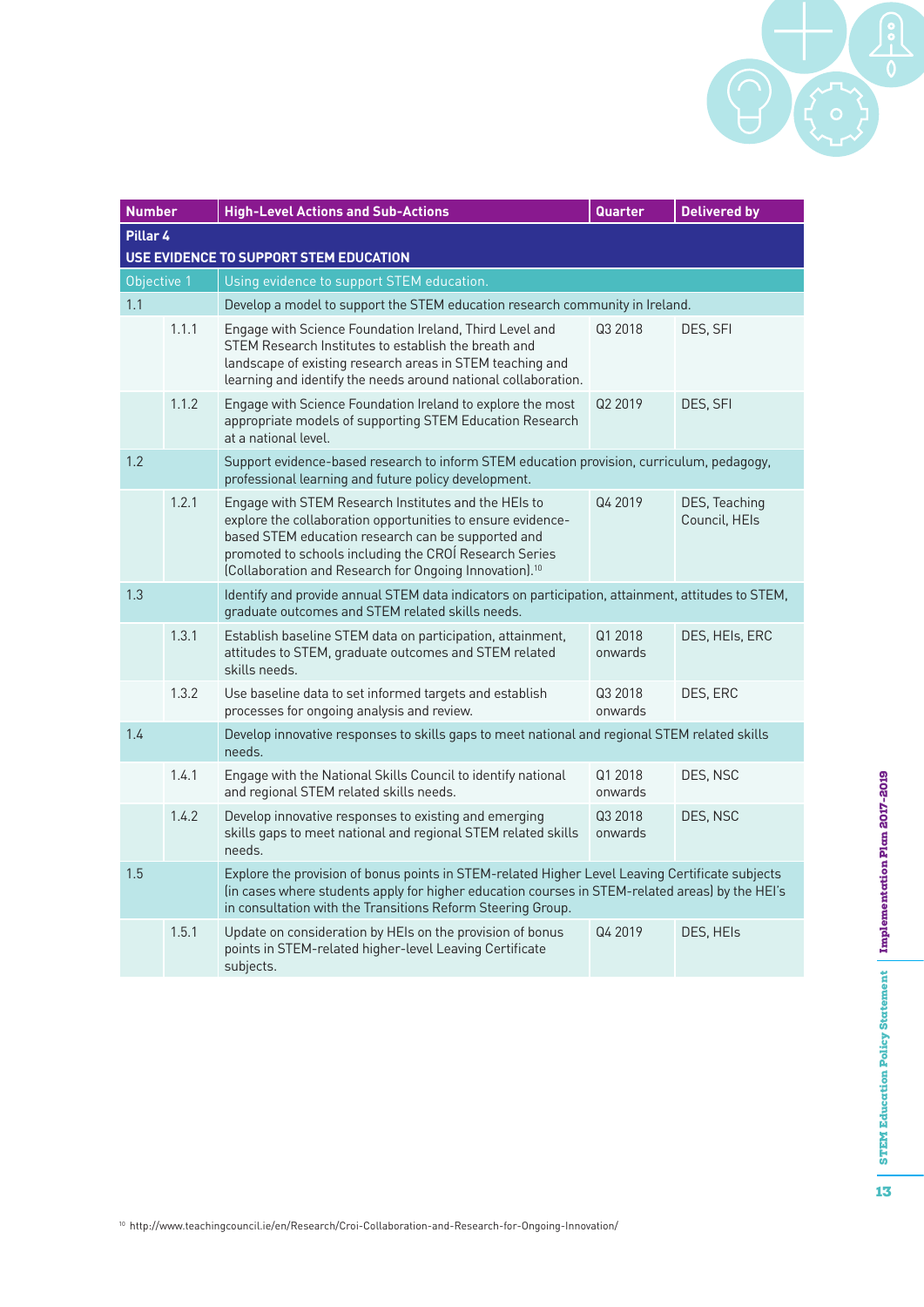

| <b>Number</b> |       | <b>High-Level Actions and Sub-Actions</b>                                                                                                                                                                                                                                                                 | Quarter            | <b>Delivered by</b>            |
|---------------|-------|-----------------------------------------------------------------------------------------------------------------------------------------------------------------------------------------------------------------------------------------------------------------------------------------------------------|--------------------|--------------------------------|
| Pillar 4      |       | USE EVIDENCE TO SUPPORT STEM EDUCATION                                                                                                                                                                                                                                                                    |                    |                                |
| Objective 1   |       | Using evidence to support STEM education.                                                                                                                                                                                                                                                                 |                    |                                |
| 1.1           |       | Develop a model to support the STEM education research community in Ireland.                                                                                                                                                                                                                              |                    |                                |
|               | 1.1.1 | Engage with Science Foundation Ireland, Third Level and<br>STEM Research Institutes to establish the breath and<br>landscape of existing research areas in STEM teaching and<br>learning and identify the needs around national collaboration.                                                            | Q3 2018            | DES, SFI                       |
|               | 1.1.2 | Engage with Science Foundation Ireland to explore the most<br>appropriate models of supporting STEM Education Research<br>at a national level.                                                                                                                                                            | Q2 2019            | DES, SFI                       |
| 1.2           |       | Support evidence-based research to inform STEM education provision, curriculum, pedagogy,<br>professional learning and future policy development.                                                                                                                                                         |                    |                                |
|               | 1.2.1 | Engage with STEM Research Institutes and the HEIs to<br>explore the collaboration opportunities to ensure evidence-<br>based STEM education research can be supported and<br>promoted to schools including the CROI Research Series<br>(Collaboration and Research for Ongoing Innovation). <sup>10</sup> | Q4 2019            | DES, Teaching<br>Council, HEIs |
| 1.3           |       | Identify and provide annual STEM data indicators on participation, attainment, attitudes to STEM,<br>graduate outcomes and STEM related skills needs.                                                                                                                                                     |                    |                                |
|               | 1.3.1 | Establish baseline STEM data on participation, attainment,<br>attitudes to STEM, graduate outcomes and STEM related<br>skills needs.                                                                                                                                                                      | Q1 2018<br>onwards | DES, HEIS, ERC                 |
|               | 1.3.2 | Use baseline data to set informed targets and establish<br>processes for ongoing analysis and review.                                                                                                                                                                                                     | Q3 2018<br>onwards | DES, ERC                       |
| 1.4           |       | Develop innovative responses to skills gaps to meet national and regional STEM related skills<br>needs.                                                                                                                                                                                                   |                    |                                |
|               | 1.4.1 | Engage with the National Skills Council to identify national<br>and regional STEM related skills needs.                                                                                                                                                                                                   | Q1 2018<br>onwards | DES, NSC                       |
|               | 1.4.2 | Develop innovative responses to existing and emerging<br>skills gaps to meet national and regional STEM related skills<br>needs.                                                                                                                                                                          | Q3 2018<br>onwards | DES, NSC                       |
| 1.5           |       | Explore the provision of bonus points in STEM-related Higher Level Leaving Certificate subjects<br>(in cases where students apply for higher education courses in STEM-related areas) by the HEI's<br>in consultation with the Transitions Reform Steering Group.                                         |                    |                                |
|               | 1.5.1 | Update on consideration by HEIs on the provision of bonus<br>points in STEM-related higher-level Leaving Certificate<br>subjects.                                                                                                                                                                         | Q4 2019            | DES, HEIs                      |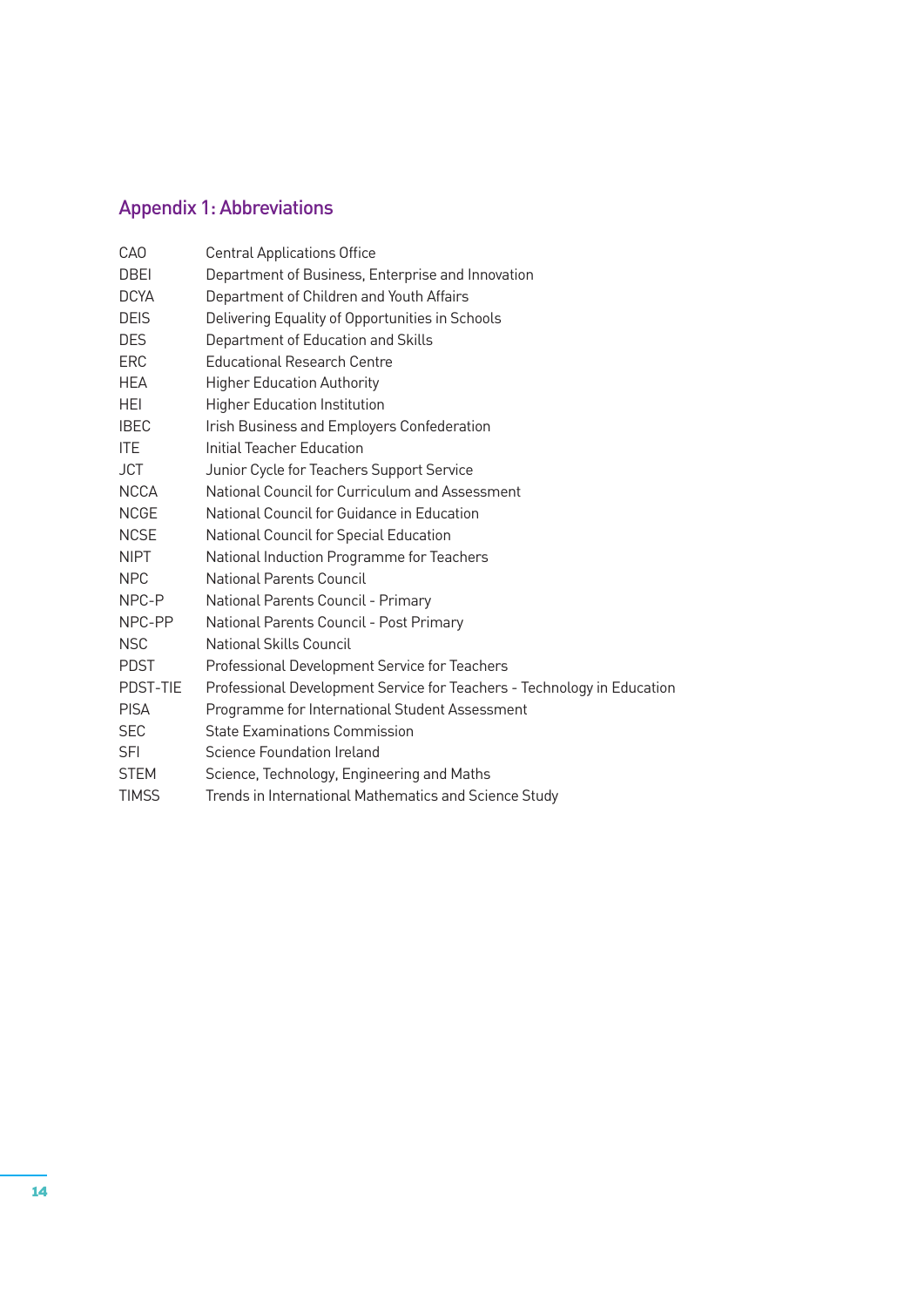## Appendix 1: Abbreviations

| CAO          | <b>Central Applications Office</b>                                      |
|--------------|-------------------------------------------------------------------------|
| DBEI         | Department of Business, Enterprise and Innovation                       |
| <b>DCYA</b>  | Department of Children and Youth Affairs                                |
| <b>DEIS</b>  | Delivering Equality of Opportunities in Schools                         |
| <b>DES</b>   | Department of Education and Skills                                      |
| ERC          | <b>Educational Research Centre</b>                                      |
| <b>HEA</b>   | <b>Higher Education Authority</b>                                       |
| HEI.         | <b>Higher Education Institution</b>                                     |
| <b>IBEC</b>  | Irish Business and Employers Confederation                              |
| ITE.         | Initial Teacher Education                                               |
| <b>JCT</b>   | Junior Cycle for Teachers Support Service                               |
| <b>NCCA</b>  | National Council for Curriculum and Assessment                          |
| <b>NCGE</b>  | National Council for Guidance in Education                              |
| <b>NCSE</b>  | National Council for Special Education                                  |
| <b>NIPT</b>  | National Induction Programme for Teachers                               |
| <b>NPC</b>   | National Parents Council                                                |
| NPC-P        | National Parents Council - Primary                                      |
| NPC-PP       | National Parents Council - Post Primary                                 |
| <b>NSC</b>   | National Skills Council                                                 |
| <b>PDST</b>  | Professional Development Service for Teachers                           |
| PDST-TIE     | Professional Development Service for Teachers - Technology in Education |
| <b>PISA</b>  | Programme for International Student Assessment                          |
| <b>SEC</b>   | State Examinations Commission                                           |
| SFI          | Science Foundation Ireland                                              |
| <b>STEM</b>  | Science, Technology, Engineering and Maths                              |
| <b>TIMSS</b> | Trends in International Mathematics and Science Study                   |